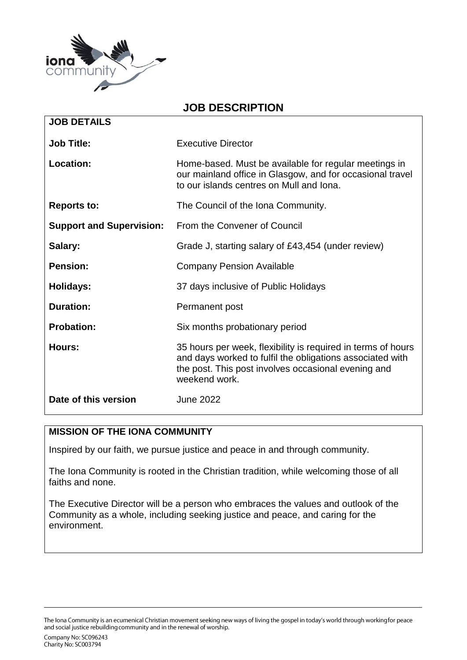

## **JOB DESCRIPTION**

| <b>JOB DETAILS</b>              |                                                                                                                                                                                                   |
|---------------------------------|---------------------------------------------------------------------------------------------------------------------------------------------------------------------------------------------------|
| <b>Job Title:</b>               | <b>Executive Director</b>                                                                                                                                                                         |
| Location:                       | Home-based. Must be available for regular meetings in<br>our mainland office in Glasgow, and for occasional travel<br>to our islands centres on Mull and Iona.                                    |
| <b>Reports to:</b>              | The Council of the Iona Community.                                                                                                                                                                |
| <b>Support and Supervision:</b> | From the Convener of Council                                                                                                                                                                      |
| Salary:                         | Grade J, starting salary of £43,454 (under review)                                                                                                                                                |
| <b>Pension:</b>                 | <b>Company Pension Available</b>                                                                                                                                                                  |
| Holidays:                       | 37 days inclusive of Public Holidays                                                                                                                                                              |
| <b>Duration:</b>                | Permanent post                                                                                                                                                                                    |
| <b>Probation:</b>               | Six months probationary period                                                                                                                                                                    |
| Hours:                          | 35 hours per week, flexibility is required in terms of hours<br>and days worked to fulfil the obligations associated with<br>the post. This post involves occasional evening and<br>weekend work. |
| Date of this version            | <b>June 2022</b>                                                                                                                                                                                  |

#### **MISSION OF THE IONA COMMUNITY**

Inspired by our faith, we pursue justice and peace in and through community.

The Iona Community is rooted in the Christian tradition, while welcoming those of all faiths and none.

The Executive Director will be a person who embraces the values and outlook of the Community as a whole, including seeking justice and peace, and caring for the environment.

The Iona Community is an ecumenical Christian movement seeking new ways of living the gospel in today's world through working for peace and social justice rebuilding community and in the renewal of worship.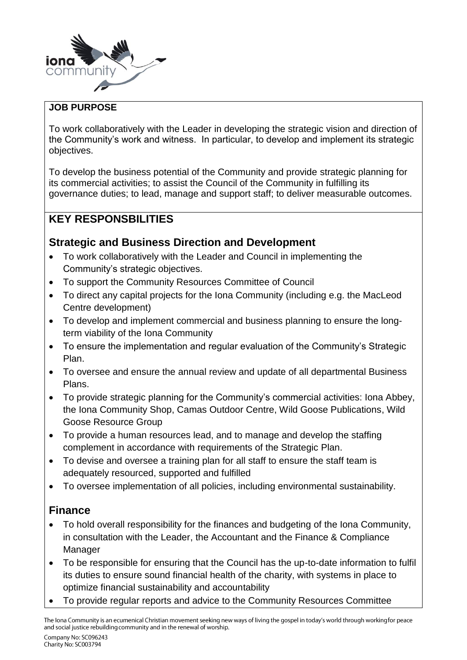

### **JOB PURPOSE**

To work collaboratively with the Leader in developing the strategic vision and direction of the Community's work and witness. In particular, to develop and implement its strategic objectives.

To develop the business potential of the Community and provide strategic planning for its commercial activities; to assist the Council of the Community in fulfilling its governance duties; to lead, manage and support staff; to deliver measurable outcomes.

# **KEY RESPONSBILITIES**

# **Strategic and Business Direction and Development**

- To work collaboratively with the Leader and Council in implementing the Community's strategic objectives.
- To support the Community Resources Committee of Council
- To direct any capital projects for the Iona Community (including e.g. the MacLeod Centre development)
- To develop and implement commercial and business planning to ensure the longterm viability of the Iona Community
- To ensure the implementation and regular evaluation of the Community's Strategic Plan.
- To oversee and ensure the annual review and update of all departmental Business Plans.
- To provide strategic planning for the Community's commercial activities: Iona Abbey, the Iona Community Shop, Camas Outdoor Centre, Wild Goose Publications, Wild Goose Resource Group
- To provide a human resources lead, and to manage and develop the staffing complement in accordance with requirements of the Strategic Plan.
- To devise and oversee a training plan for all staff to ensure the staff team is adequately resourced, supported and fulfilled
- To oversee implementation of all policies, including environmental sustainability.

# **Finance**

- To hold overall responsibility for the finances and budgeting of the Iona Community, in consultation with the Leader, the Accountant and the Finance & Compliance Manager
- To be responsible for ensuring that the Council has the up-to-date information to fulfil its duties to ensure sound financial health of the charity, with systems in place to optimize financial sustainability and accountability
- To provide regular reports and advice to the Community Resources Committee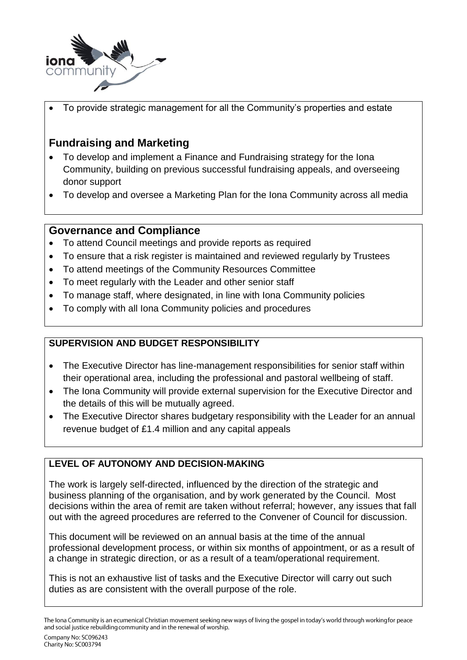

To provide strategic management for all the Community's properties and estate

# **Fundraising and Marketing**

- To develop and implement a Finance and Fundraising strategy for the Iona Community, building on previous successful fundraising appeals, and overseeing donor support
- To develop and oversee a Marketing Plan for the Iona Community across all media

## **Governance and Compliance**

- To attend Council meetings and provide reports as required
- To ensure that a risk register is maintained and reviewed regularly by Trustees
- To attend meetings of the Community Resources Committee
- To meet regularly with the Leader and other senior staff
- To manage staff, where designated, in line with Iona Community policies
- To comply with all Iona Community policies and procedures

## **SUPERVISION AND BUDGET RESPONSIBILITY**

- The Executive Director has line-management responsibilities for senior staff within their operational area, including the professional and pastoral wellbeing of staff.
- The Iona Community will provide external supervision for the Executive Director and the details of this will be mutually agreed.
- The Executive Director shares budgetary responsibility with the Leader for an annual revenue budget of £1.4 million and any capital appeals

## **LEVEL OF AUTONOMY AND DECISION-MAKING**

The work is largely self-directed, influenced by the direction of the strategic and business planning of the organisation, and by work generated by the Council. Most decisions within the area of remit are taken without referral; however, any issues that fall out with the agreed procedures are referred to the Convener of Council for discussion.

This document will be reviewed on an annual basis at the time of the annual professional development process, or within six months of appointment, or as a result of a change in strategic direction, or as a result of a team/operational requirement.

This is not an exhaustive list of tasks and the Executive Director will carry out such duties as are consistent with the overall purpose of the role.

The Iona Community is an ecumenical Christian movement seeking new ways of living the gospel in today's world through working for peace and social justice rebuilding community and in the renewal of worship.